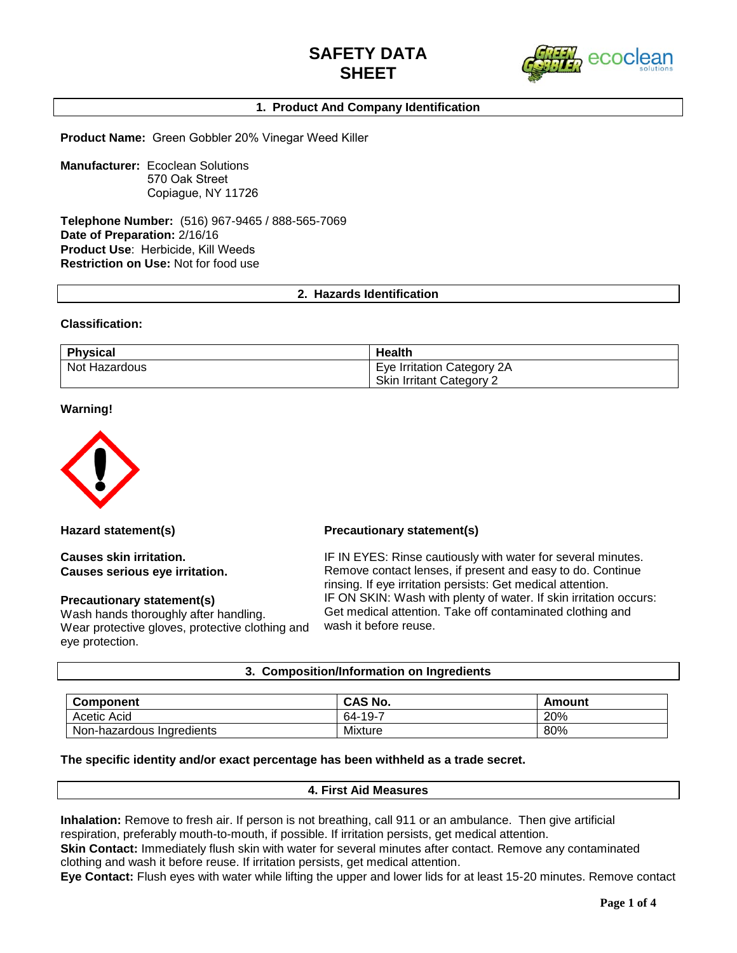

## **1. Product And Company Identification**

**Product Name:** Green Gobbler 20% Vinegar Weed Killer

**Manufacturer:** Ecoclean Solutions 570 Oak Street Copiague, NY 11726

**Telephone Number:** (516) 967-9465 / 888-565-7069 **Date of Preparation:** 2/16/16 **Product Use**: Herbicide, Kill Weeds **Restriction on Use:** Not for food use

**2. Hazards Identification**

#### **Classification:**

| <b>Physical</b> | <b>Health</b>                   |
|-----------------|---------------------------------|
| Not Hazardous   | Eye Irritation Category 2A      |
|                 | <b>Skin Irritant Category 2</b> |

#### **Warning!**



**Causes skin irritation. Causes serious eye irritation.**

#### **Precautionary statement(s)**

Wash hands thoroughly after handling. Wear protective gloves, protective clothing and eye protection.

#### **Hazard statement(s) Precautionary statement(s)**

IF IN EYES: Rinse cautiously with water for several minutes. Remove contact lenses, if present and easy to do. Continue rinsing. If eye irritation persists: Get medical attention. IF ON SKIN: Wash with plenty of water. If skin irritation occurs: Get medical attention. Take off contaminated clothing and wash it before reuse.

#### **3. Composition/Information on Ingredients**

| <b>Component</b>          | <b>CAS No.</b> | Amount |  |
|---------------------------|----------------|--------|--|
| Acetic Acid               | -19-7<br>64-   | 20%    |  |
| Non-hazardous Ingredients | <b>Mixture</b> | 80%    |  |

#### **The specific identity and/or exact percentage has been withheld as a trade secret.**

#### **4. First Aid Measures**

**Inhalation:** Remove to fresh air. If person is not breathing, call 911 or an ambulance. Then give artificial respiration, preferably mouth-to-mouth, if possible. If irritation persists, get medical attention.

**Skin Contact:** Immediately flush skin with water for several minutes after contact. Remove any contaminated clothing and wash it before reuse. If irritation persists, get medical attention.

**Eye Contact:** Flush eyes with water while lifting the upper and lower lids for at least 15-20 minutes. Remove contact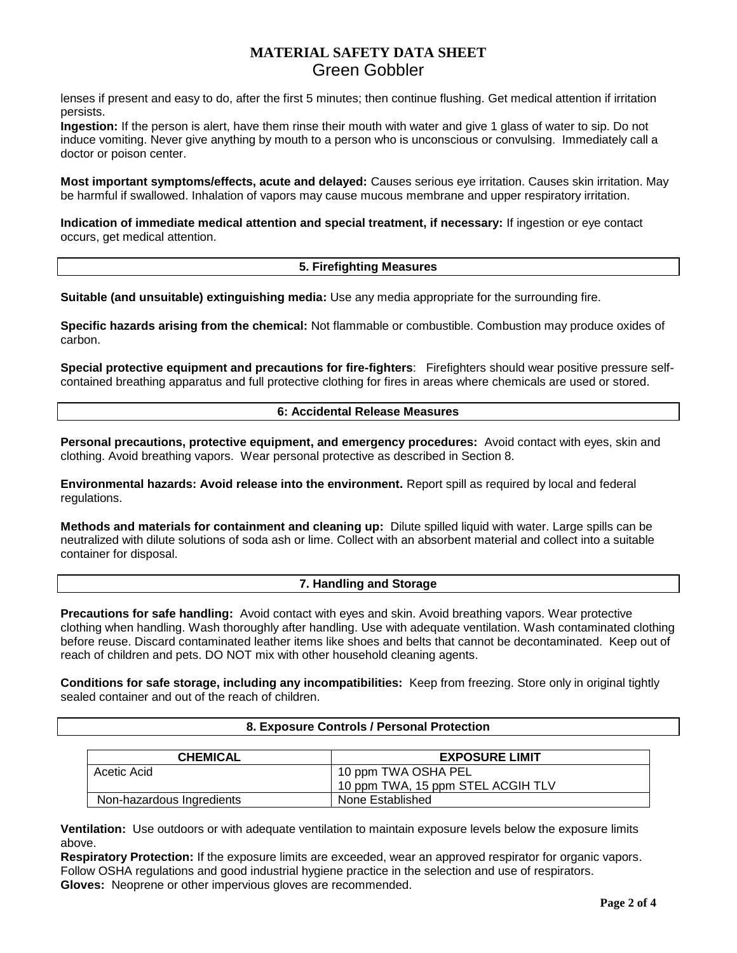# **MATERIAL SAFETY DATA SHEET**  Green Gobbler

lenses if present and easy to do, after the first 5 minutes; then continue flushing. Get medical attention if irritation persists.

**Ingestion:** If the person is alert, have them rinse their mouth with water and give 1 glass of water to sip. Do not induce vomiting. Never give anything by mouth to a person who is unconscious or convulsing. Immediately call a doctor or poison center.

**Most important symptoms/effects, acute and delayed:** Causes serious eye irritation. Causes skin irritation. May be harmful if swallowed. Inhalation of vapors may cause mucous membrane and upper respiratory irritation.

**Indication of immediate medical attention and special treatment, if necessary:** If ingestion or eye contact occurs, get medical attention.

#### **5. Firefighting Measures**

**Suitable (and unsuitable) extinguishing media:** Use any media appropriate for the surrounding fire.

**Specific hazards arising from the chemical:** Not flammable or combustible. Combustion may produce oxides of carbon.

**Special protective equipment and precautions for fire-fighters**: Firefighters should wear positive pressure selfcontained breathing apparatus and full protective clothing for fires in areas where chemicals are used or stored.

### **6: Accidental Release Measures**

**Personal precautions, protective equipment, and emergency procedures:** Avoid contact with eyes, skin and clothing. Avoid breathing vapors. Wear personal protective as described in Section 8.

**Environmental hazards: Avoid release into the environment.** Report spill as required by local and federal regulations.

**Methods and materials for containment and cleaning up:** Dilute spilled liquid with water. Large spills can be neutralized with dilute solutions of soda ash or lime. Collect with an absorbent material and collect into a suitable container for disposal.

#### **7. Handling and Storage**

**Precautions for safe handling:** Avoid contact with eyes and skin. Avoid breathing vapors. Wear protective clothing when handling. Wash thoroughly after handling. Use with adequate ventilation. Wash contaminated clothing before reuse. Discard contaminated leather items like shoes and belts that cannot be decontaminated. Keep out of reach of children and pets. DO NOT mix with other household cleaning agents.

**Conditions for safe storage, including any incompatibilities:** Keep from freezing. Store only in original tightly sealed container and out of the reach of children.

| <b>CHEMICAL</b>           | <b>EXPOSURE LIMIT</b>             |
|---------------------------|-----------------------------------|
| Acetic Acid               | 10 ppm TWA OSHA PEL               |
|                           | 10 ppm TWA, 15 ppm STEL ACGIH TLV |
| Non-hazardous Ingredients | None Established                  |

**8. Exposure Controls / Personal Protection**

**Ventilation:** Use outdoors or with adequate ventilation to maintain exposure levels below the exposure limits above.

**Respiratory Protection:** If the exposure limits are exceeded, wear an approved respirator for organic vapors. Follow OSHA regulations and good industrial hygiene practice in the selection and use of respirators. **Gloves:** Neoprene or other impervious gloves are recommended.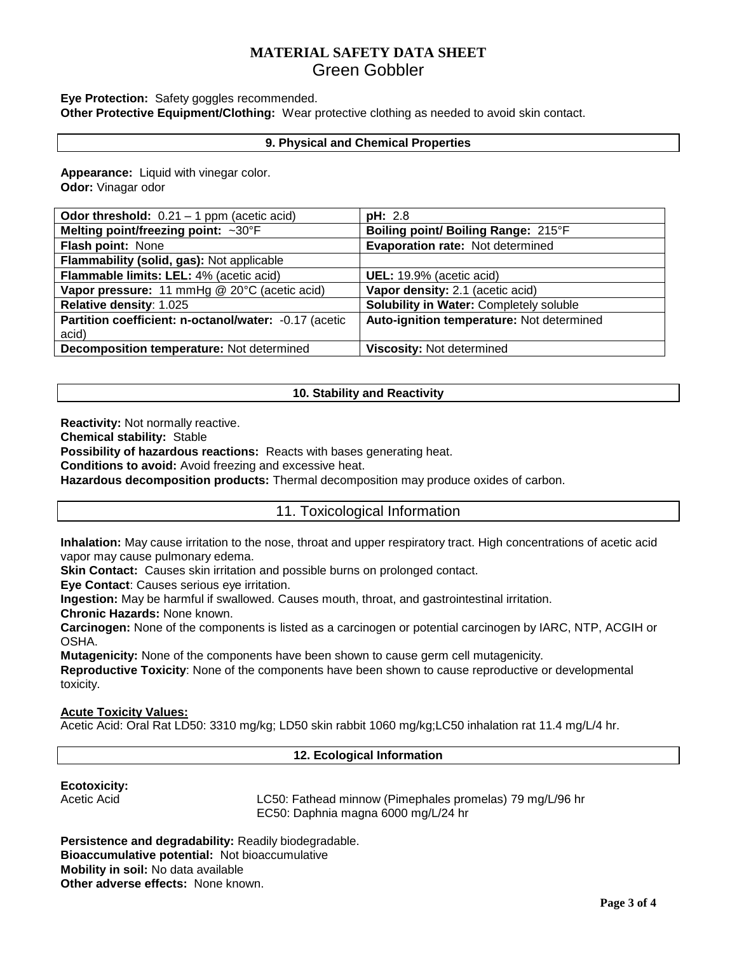# **MATERIAL SAFETY DATA SHEET**  Green Gobbler

### **Eye Protection:** Safety goggles recommended.

**Other Protective Equipment/Clothing:** Wear protective clothing as needed to avoid skin contact.

#### **9. Physical and Chemical Properties**

**Appearance:** Liquid with vinegar color. **Odor:** Vinagar odor

| <b>Odor threshold:</b> $0.21 - 1$ ppm (acetic acid)   | <b>pH: 2.8</b>                            |
|-------------------------------------------------------|-------------------------------------------|
| Melting point/freezing point: ~30°F                   | Boiling point/ Boiling Range: 215°F       |
| Flash point: None                                     | Evaporation rate: Not determined          |
| Flammability (solid, gas): Not applicable             |                                           |
| Flammable limits: LEL: 4% (acetic acid)               | UEL: 19.9% (acetic acid)                  |
| Vapor pressure: 11 mmHg @ 20°C (acetic acid)          | Vapor density: 2.1 (acetic acid)          |
| Relative density: 1.025                               | Solubility in Water: Completely soluble   |
| Partition coefficient: n-octanol/water: -0.17 (acetic | Auto-ignition temperature: Not determined |
| acid)                                                 |                                           |
| Decomposition temperature: Not determined             | Viscosity: Not determined                 |

#### **10. Stability and Reactivity**

**Reactivity:** Not normally reactive.

**Chemical stability:** Stable

**Possibility of hazardous reactions:** Reacts with bases generating heat.

**Conditions to avoid:** Avoid freezing and excessive heat.

**Hazardous decomposition products:** Thermal decomposition may produce oxides of carbon.

## 11. Toxicological Information

**Inhalation:** May cause irritation to the nose, throat and upper respiratory tract. High concentrations of acetic acid vapor may cause pulmonary edema.

**Skin Contact:** Causes skin irritation and possible burns on prolonged contact.

**Eye Contact**: Causes serious eye irritation.

**Ingestion:** May be harmful if swallowed. Causes mouth, throat, and gastrointestinal irritation.

**Chronic Hazards:** None known.

**Carcinogen:** None of the components is listed as a carcinogen or potential carcinogen by IARC, NTP, ACGIH or OSHA.

**Mutagenicity:** None of the components have been shown to cause germ cell mutagenicity.

**Reproductive Toxicity**: None of the components have been shown to cause reproductive or developmental toxicity.

### **Acute Toxicity Values:**

Acetic Acid: Oral Rat LD50: 3310 mg/kg; LD50 skin rabbit 1060 mg/kg;LC50 inhalation rat 11.4 mg/L/4 hr.

#### **12. Ecological Information**

### **Ecotoxicity:**

Acetic Acid **LC50:** Fathead minnow (Pimephales promelas) 79 mg/L/96 hr EC50: Daphnia magna 6000 mg/L/24 hr

**Persistence and degradability:** Readily biodegradable. **Bioaccumulative potential:** Not bioaccumulative **Mobility in soil:** No data available **Other adverse effects:** None known.